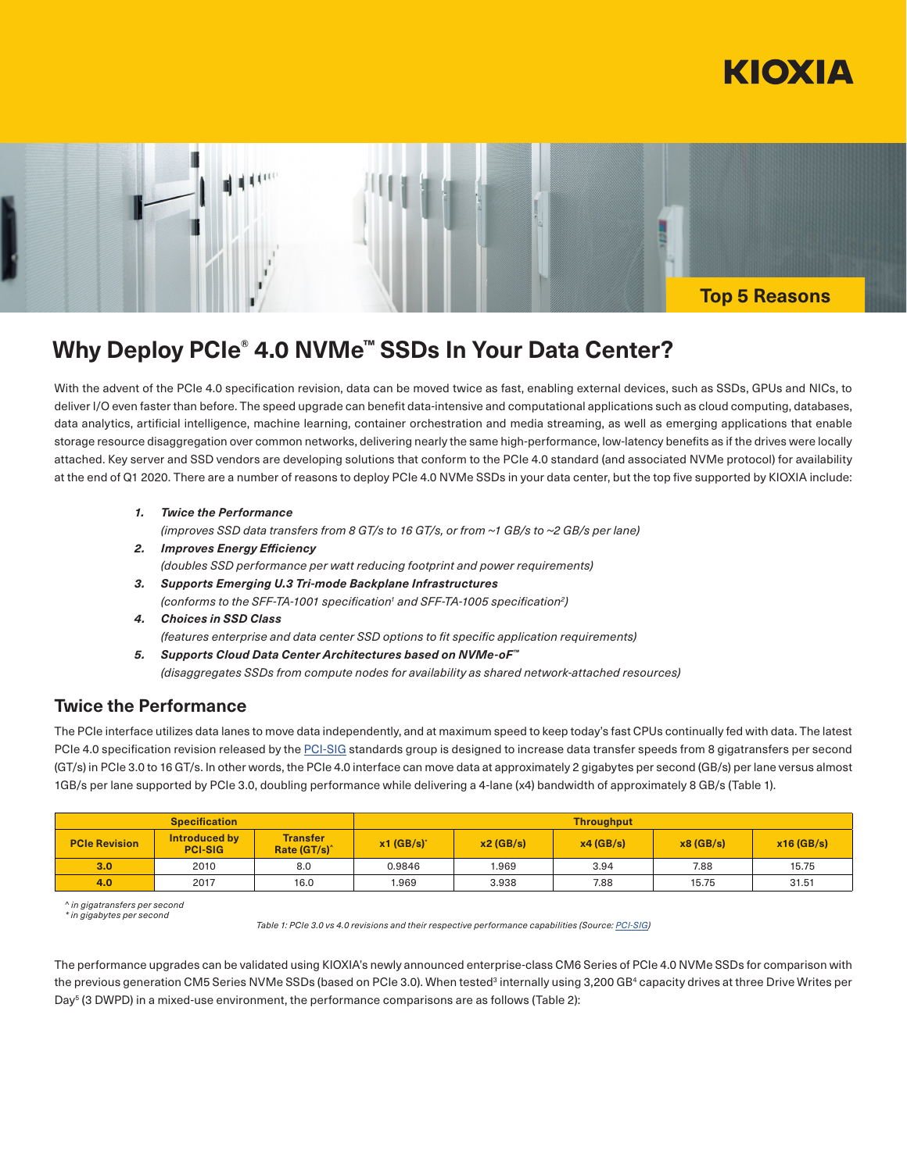



# **Why Deploy PCIe® 4.0 NVMe™ SSDs In Your Data Center?**

With the advent of the PCIe 4.0 specification revision, data can be moved twice as fast, enabling external devices, such as SSDs, GPUs and NICs, to deliver I/O even faster than before. The speed upgrade can benefit data-intensive and computational applications such as cloud computing, databases, data analytics, artificial intelligence, machine learning, container orchestration and media streaming, as well as emerging applications that enable storage resource disaggregation over common networks, delivering nearly the same high-performance, low-latency benefits as if the drives were locally attached. Key server and SSD vendors are developing solutions that conform to the PCIe 4.0 standard (and associated NVMe protocol) for availability at the end of Q1 2020. There are a number of reasons to deploy PCIe 4.0 NVMe SSDs in your data center, but the top five supported by KIOXIA include:

- *1. Twice the Performance (improves SSD data transfers from 8 GT/s to 16 GT/s, or from ~1 GB/s to ~2 GB/s per lane)*
- *2. Improves Energy Efficiency (doubles SSD performance per watt reducing footprint and power requirements)*
- *3. Supports Emerging U.3 Tri-mode Backplane Infrastructures* (conforms to the SFF-TA-1001 specification<sup>1</sup> and SFF-TA-1005 specification<sup>2</sup>)
- *4. Choices in SSD Class (features enterprise and data center SSD options to fit specific application requirements)*
- *5. Supports Cloud Data Center Architectures based on NVMe-oF™ (disaggregates SSDs from compute nodes for availability as shared network-attached resources)*

## **Twice the Performance**

The PCIe interface utilizes data lanes to move data independently, and at maximum speed to keep today's fast CPUs continually fed with data. The latest PCIe 4.0 specification revision released by the [PCI-SIG](https://pcisig.com/) standards group is designed to increase data transfer speeds from 8 gigatransfers per second (GT/s) in PCIe 3.0 to 16 GT/s. In other words, the PCIe 4.0 interface can move data at approximately 2 gigabytes per second (GB/s) per lane versus almost 1GB/s per lane supported by PCIe 3.0, doubling performance while delivering a 4-lane (x4) bandwidth of approximately 8 GB/s (Table 1).

| <b>Specification</b> |                                 |                                             | <b>Throughput</b>        |          |          |          |              |
|----------------------|---------------------------------|---------------------------------------------|--------------------------|----------|----------|----------|--------------|
| <b>PCIe Revision</b> | Introduced by<br><b>PCI-SIG</b> | <b>Transfer</b><br>Rate (GT/s) <sup>^</sup> | $x1$ (GB/s) <sup>*</sup> | x2(GB/s) | x4(GB/s) | x8(GB/s) | $x16$ (GB/s) |
| 3.0 <sub>1</sub>     | 2010                            | 8.0                                         | 0.9846                   | 969.     | 3.94     | 7.88     | 15.75        |
| 4.0                  | 2017                            | 16.0                                        | 1.969                    | 3.938    | 7.88     | 15.75    | 31.51        |

*^ in gigatransfers per second*

*\* in gigabytes per second*

*Table 1: PCIe 3.0 vs 4.0 revisions and their respective performance capabilities (Source: [PCI-SIG\)](https://pcisig.com/)*

The performance upgrades can be validated using KIOXIA's newly announced enterprise-class CM6 Series of PCIe 4.0 NVMe SSDs for comparison with the previous generation CM5 Series NVMe SSDs (based on PCIe 3.0). When tested<sup>3</sup> internally using 3,200 GB<sup>4</sup> capacity drives at three Drive Writes per Day<sup>5</sup> (3 DWPD) in a mixed-use environment, the performance comparisons are as follows (Table 2):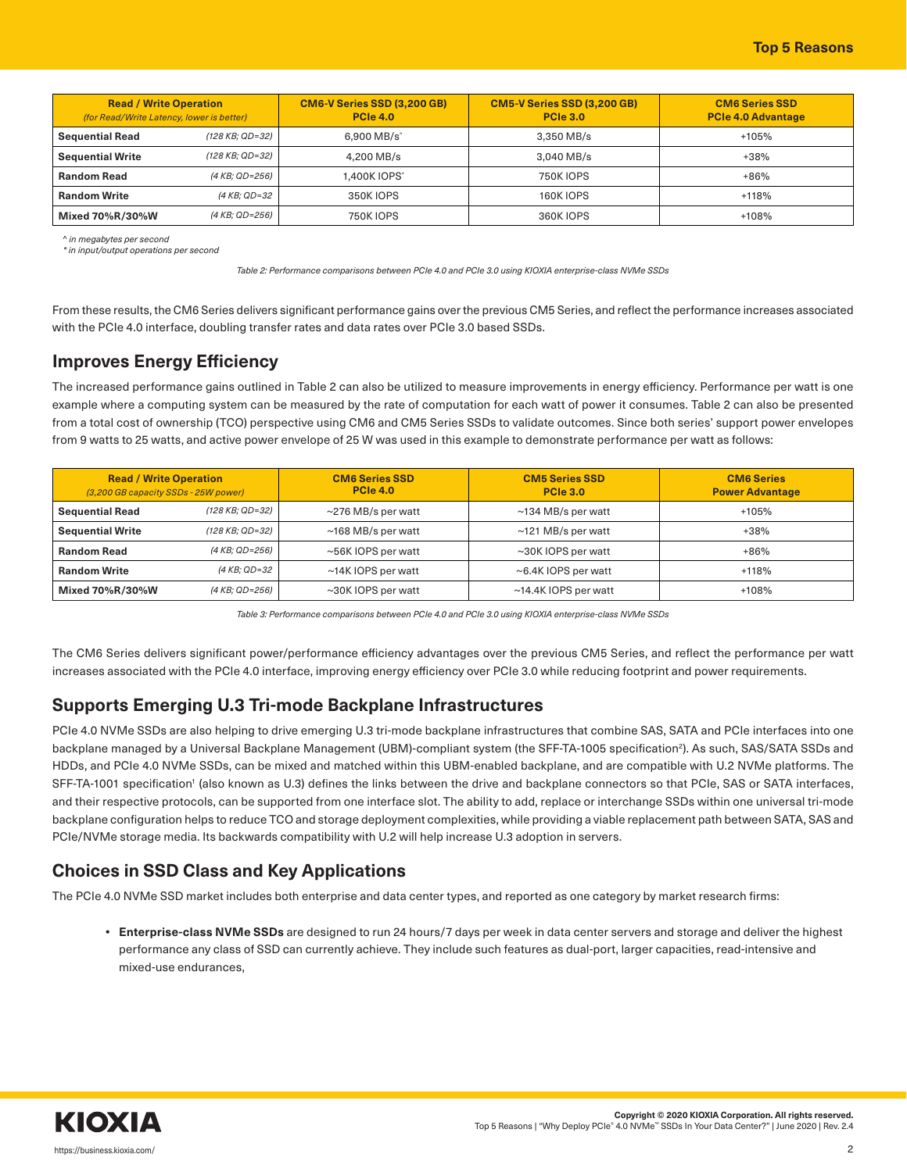| <b>Read / Write Operation</b><br>(for Read/Write Latency, lower is better) |                 | <b>CM6-V Series SSD (3,200 GB)</b><br><b>PCIe 4.0</b> | <b>CM5-V Series SSD (3,200 GB)</b><br><b>PCIe 3.0</b> | <b>CM6 Series SSD</b><br><b>PCIe 4.0 Advantage</b> |
|----------------------------------------------------------------------------|-----------------|-------------------------------------------------------|-------------------------------------------------------|----------------------------------------------------|
| <b>Sequential Read</b>                                                     | (128 KB: QD=32) | 6.900 MB/s <sup>^</sup>                               | 3.350 MB/s                                            | $+105%$                                            |
| <b>Sequential Write</b>                                                    | (128 KB; QD=32) | 4.200 MB/s                                            | 3.040 MB/s                                            | $+38%$                                             |
| <b>Random Read</b>                                                         | (4 KB; QD=256)  | 1.400K IOPS*                                          | 750K IOPS                                             | $+86%$                                             |
| <b>Random Write</b>                                                        | (4 KB: QD=32    | 350K IOPS                                             | 160K IOPS                                             | $+118%$                                            |
| Mixed 70%R/30%W                                                            | (4 KB; QD=256)  | <b>750K IOPS</b>                                      | 360K IOPS                                             | $+108%$                                            |

*^ in megabytes per second \* in input/output operations per second*

*Table 2: Performance comparisons between PCIe 4.0 and PCIe 3.0 using KIOXIA enterprise-class NVMe SSDs*

From these results, the CM6 Series delivers significant performance gains over the previous CM5 Series, and reflect the performance increases associated with the PCIe 4.0 interface, doubling transfer rates and data rates over PCIe 3.0 based SSDs.

### **Improves Energy Efficiency**

The increased performance gains outlined in Table 2 can also be utilized to measure improvements in energy efficiency. Performance per watt is one example where a computing system can be measured by the rate of computation for each watt of power it consumes. Table 2 can also be presented from a total cost of ownership (TCO) perspective using CM6 and CM5 Series SSDs to validate outcomes. Since both series' support power envelopes from 9 watts to 25 watts, and active power envelope of 25 W was used in this example to demonstrate performance per watt as follows:

| <b>Read / Write Operation</b><br>(3,200 GB capacity SSDs - 25W power) |                 | <b>CM6 Series SSD</b><br><b>PCIe 4.0</b> | <b>CM5 Series SSD</b><br><b>PCIe 3.0</b> | <b>CM6 Series</b><br><b>Power Advantage</b> |
|-----------------------------------------------------------------------|-----------------|------------------------------------------|------------------------------------------|---------------------------------------------|
| <b>Sequential Read</b>                                                | (128 KB; QD=32) | $\sim$ 276 MB/s per watt                 | $\sim$ 134 MB/s per watt                 | +105%                                       |
| <b>Sequential Write</b>                                               | (128 KB: QD=32) | $\sim$ 168 MB/s per watt                 | $\sim$ 121 MB/s per watt                 | $+38%$                                      |
| <b>Random Read</b>                                                    | (4 KB: QD=256)  | ~56K IOPS per watt                       | $\sim$ 30K IOPS per watt                 | $+86%$                                      |
| <b>Random Write</b>                                                   | (4 KB: QD=32    | ~14K IOPS per watt                       | $\sim$ 6.4K IOPS per watt                | $+118%$                                     |
| Mixed 70%R/30%W                                                       | (4 KB; QD=256)  | ~30K IOPS per watt                       | ~14.4K IOPS per watt                     | +108%                                       |

*Table 3: Performance comparisons between PCIe 4.0 and PCIe 3.0 using KIOXIA enterprise-class NVMe SSDs*

The CM6 Series delivers significant power/performance efficiency advantages over the previous CM5 Series, and reflect the performance per watt increases associated with the PCIe 4.0 interface, improving energy efficiency over PCIe 3.0 while reducing footprint and power requirements.

### **Supports Emerging U.3 Tri-mode Backplane Infrastructures**

PCIe 4.0 NVMe SSDs are also helping to drive emerging U.3 tri-mode backplane infrastructures that combine SAS, SATA and PCIe interfaces into one backplane managed by a Universal Backplane Management (UBM)-compliant system (the SFF-TA-1005 specification²). As such, SAS/SATA SSDs and HDDs, and PCIe 4.0 NVMe SSDs, can be mixed and matched within this UBM-enabled backplane, and are compatible with U.2 NVMe platforms. The SFF-TA-1001 specification' (also known as U.3) defines the links between the drive and backplane connectors so that PCIe, SAS or SATA interfaces, and their respective protocols, can be supported from one interface slot. The ability to add, replace or interchange SSDs within one universal tri-mode backplane configuration helps to reduce TCO and storage deployment complexities, while providing a viable replacement path between SATA, SAS and PCIe/NVMe storage media. Its backwards compatibility with U.2 will help increase U.3 adoption in servers.

# **Choices in SSD Class and Key Applications**

The PCIe 4.0 NVMe SSD market includes both enterprise and data center types, and reported as one category by market research firms:

**• Enterprise-class NVMe SSDs** are designed to run 24 hours/7 days per week in data center servers and storage and deliver the highest performance any class of SSD can currently achieve. They include such features as dual-port, larger capacities, read-intensive and mixed-use endurances,